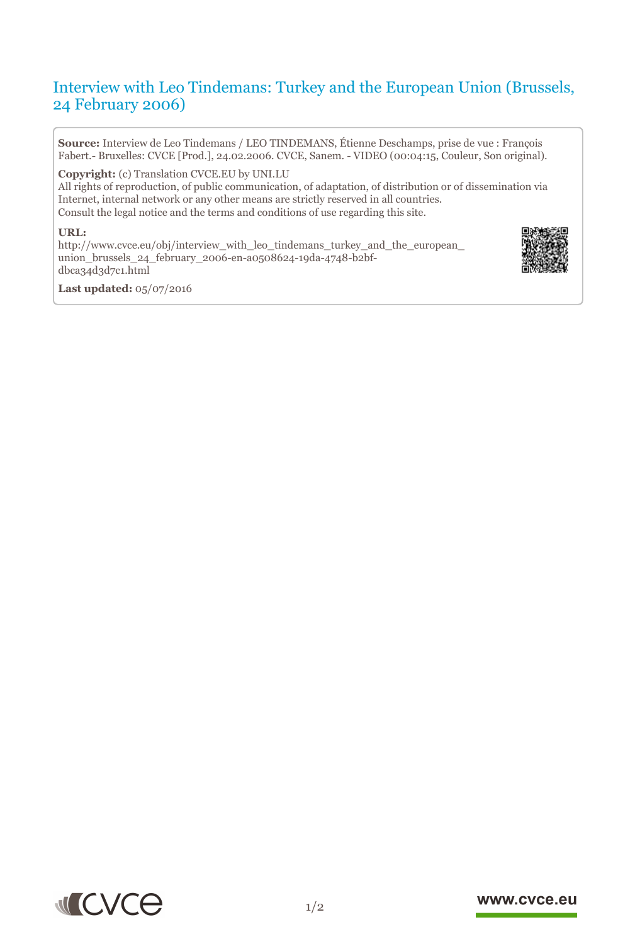# Interview with Leo Tindemans: Turkey and the European Union (Brussels, 24 February 2006)

**Source:** Interview de Leo Tindemans / LEO TINDEMANS, Étienne Deschamps, prise de vue : François Fabert.- Bruxelles: CVCE [Prod.], 24.02.2006. CVCE, Sanem. - VIDEO (00:04:15, Couleur, Son original).

**Copyright:** (c) Translation CVCE.EU by UNI.LU

All rights of reproduction, of public communication, of adaptation, of distribution or of dissemination via Internet, internal network or any other means are strictly reserved in all countries. Consult the legal notice and the terms and conditions of use regarding this site.

#### **URL:**

http://www.cvce.eu/obj/interview\_with\_leo\_tindemans\_turkey\_and\_the\_european\_ uni[on\\_brussels\\_24\\_february\\_2006-en-a0508624-19da-4748-b2bf](http://www.cvce.eu/obj/interview_with_leo_tindemans_turkey_and_the_european_union_brussels_24_february_2006-en-a0508624-19da-4748-b2bf-dbca34d3d7c1.html)dbc[a34d3d7c1.html](http://www.cvce.eu/obj/interview_with_leo_tindemans_turkey_and_the_european_union_brussels_24_february_2006-en-a0508624-19da-4748-b2bf-dbca34d3d7c1.html)



**Las[t updated:](http://www.cvce.eu/obj/interview_with_leo_tindemans_turkey_and_the_european_union_brussels_24_february_2006-en-a0508624-19da-4748-b2bf-dbca34d3d7c1.html)** 05/07/2016



#### www.cvce.eu